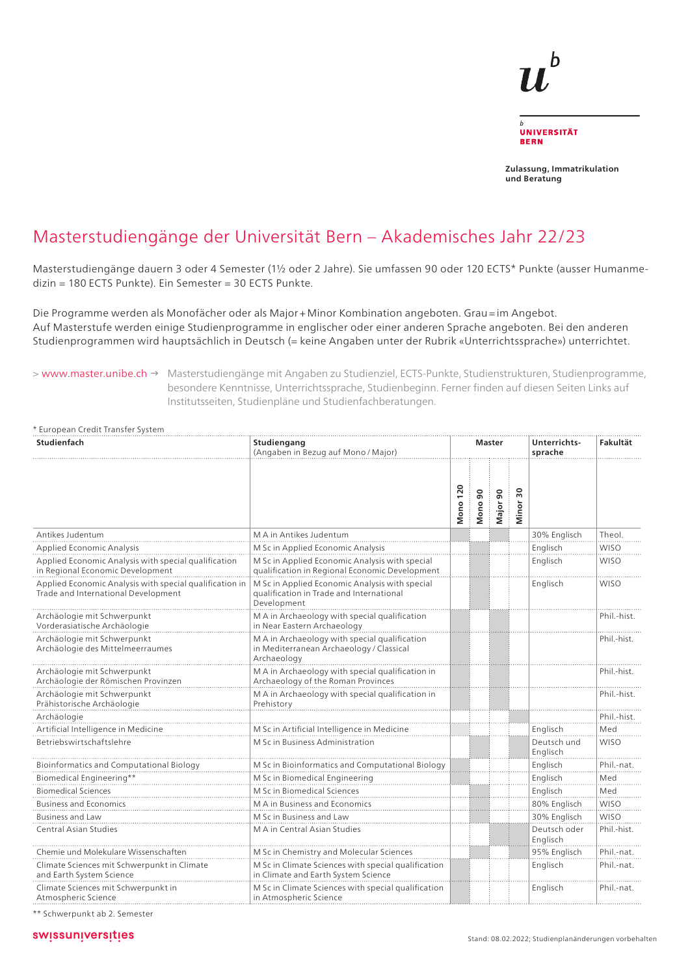

**Zulassung, Immatrikulation und Beratung**

## Masterstudiengänge der Universität Bern – Akademisches Jahr 22/23

Masterstudiengänge dauern 3 oder 4 Semester (1½ oder 2 Jahre). Sie umfassen 90 oder 120 ECTS\* Punkte (ausser Humanmedizin = 180 ECTS Punkte). Ein Semester = 30 ECTS Punkte.

Die Programme werden als Monofächer oder als Major + Minor Kombination angeboten. Grau = im Angebot. Auf Masterstufe werden einige Studienprogramme in englischer oder einer anderen Sprache angeboten. Bei den anderen Studienprogrammen wird hauptsächlich in Deutsch (= keine Angaben unter der Rubrik «Unterrichtssprache») unterrichtet.

> www.master.unibe.ch → Masterstudiengänge mit Angaben zu Studienziel, ECTS-Punkte, Studienstrukturen, Studienprogramme, besondere Kenntnisse, Unterrichtssprache, Studienbeginn. Ferner finden auf diesen Seiten Links auf Institutsseiten, Studienpläne und Studienfachberatungen.

| * European Credit Transfer System                                                              |                                                                                                           |                 |                         |          |                          |                          |             |
|------------------------------------------------------------------------------------------------|-----------------------------------------------------------------------------------------------------------|-----------------|-------------------------|----------|--------------------------|--------------------------|-------------|
| Studienfach                                                                                    | Studiengang<br>(Angaben in Bezug auf Mono / Major)                                                        | <b>Master</b>   |                         |          | Unterrichts-<br>sprache  | Fakultät                 |             |
|                                                                                                |                                                                                                           | <b>Mono 120</b> | $\overline{9}0$<br>Mono | Major 90 | $\overline{30}$<br>Minor |                          |             |
| Antikes Judentum                                                                               | M A in Antikes Judentum                                                                                   |                 |                         |          |                          | 30% Englisch             | Theol.      |
| <b>Applied Economic Analysis</b>                                                               | M Sc in Applied Economic Analysis                                                                         |                 |                         |          |                          | Englisch                 | <b>WISO</b> |
| Applied Economic Analysis with special qualification<br>in Regional Economic Development       | M Sc in Applied Economic Analysis with special<br>qualification in Regional Economic Development          |                 |                         |          |                          | Englisch                 | <b>WISO</b> |
| Applied Economic Analysis with special qualification in<br>Trade and International Development | M Sc in Applied Economic Analysis with special<br>qualification in Trade and International<br>Development |                 |                         |          |                          | Englisch                 | <b>WISO</b> |
| Archäologie mit Schwerpunkt<br>Vorderasiatische Archäologie                                    | M A in Archaeology with special qualification<br>in Near Eastern Archaeology                              |                 |                         |          |                          |                          | Phil.-hist. |
| Archäologie mit Schwerpunkt<br>Archäologie des Mittelmeerraumes                                | M A in Archaeology with special qualification<br>in Mediterranean Archaeology / Classical<br>Archaeology  |                 |                         |          |                          |                          | Phil.-hist. |
| Archäologie mit Schwerpunkt<br>Archäologie der Römischen Provinzen                             | M A in Archaeology with special qualification in<br>Archaeology of the Roman Provinces                    |                 |                         |          |                          |                          | Phil.-hist. |
| Archäologie mit Schwerpunkt<br>Prähistorische Archäologie                                      | M A in Archaeology with special qualification in<br>Prehistory                                            |                 |                         |          |                          |                          | Phil.-hist. |
| Archäologie                                                                                    |                                                                                                           |                 |                         |          |                          |                          | Phil.-hist. |
| Artificial Intelligence in Medicine                                                            | M Sc in Artificial Intelligence in Medicine                                                               |                 |                         |          |                          | Englisch                 | Med         |
| Betriebswirtschaftslehre                                                                       | M Sc in Business Administration                                                                           |                 |                         |          |                          | Deutsch und<br>Englisch  | <b>WISO</b> |
| Bioinformatics and Computational Biology                                                       | M Sc in Bioinformatics and Computational Biology                                                          |                 |                         |          |                          | Englisch                 | Phil.-nat.  |
| Biomedical Engineering**                                                                       | M Sc in Biomedical Engineering                                                                            |                 |                         |          |                          | Englisch                 | Med         |
| <b>Biomedical Sciences</b>                                                                     | M Sc in Biomedical Sciences                                                                               |                 |                         |          |                          | Englisch                 | Med         |
| <b>Business and Economics</b>                                                                  | M A in Business and Economics                                                                             |                 |                         |          |                          | 80% Englisch             | <b>WISO</b> |
| <b>Business and Law</b>                                                                        | M Sc in Business and Law                                                                                  |                 |                         |          |                          | 30% Englisch             | <b>WISO</b> |
| Central Asian Studies                                                                          | M A in Central Asian Studies                                                                              |                 |                         |          |                          | Deutsch oder<br>Englisch | Phil.-hist. |
| Chemie und Molekulare Wissenschaften                                                           | M Sc in Chemistry and Molecular Sciences                                                                  |                 |                         |          |                          | 95% Englisch             | Phil.-nat.  |
| Climate Sciences mit Schwerpunkt in Climate<br>and Earth System Science                        | M Sc in Climate Sciences with special qualification<br>in Climate and Earth System Science                |                 |                         |          |                          | Englisch                 | Phil.-nat.  |
| Climate Sciences mit Schwerpunkt in<br>Atmospheric Science                                     | M Sc in Climate Sciences with special qualification<br>in Atmospheric Science                             |                 |                         |          |                          | Englisch                 | Phil.-nat.  |

\*\* Schwerpunkt ab 2. Semester

## swissuniversities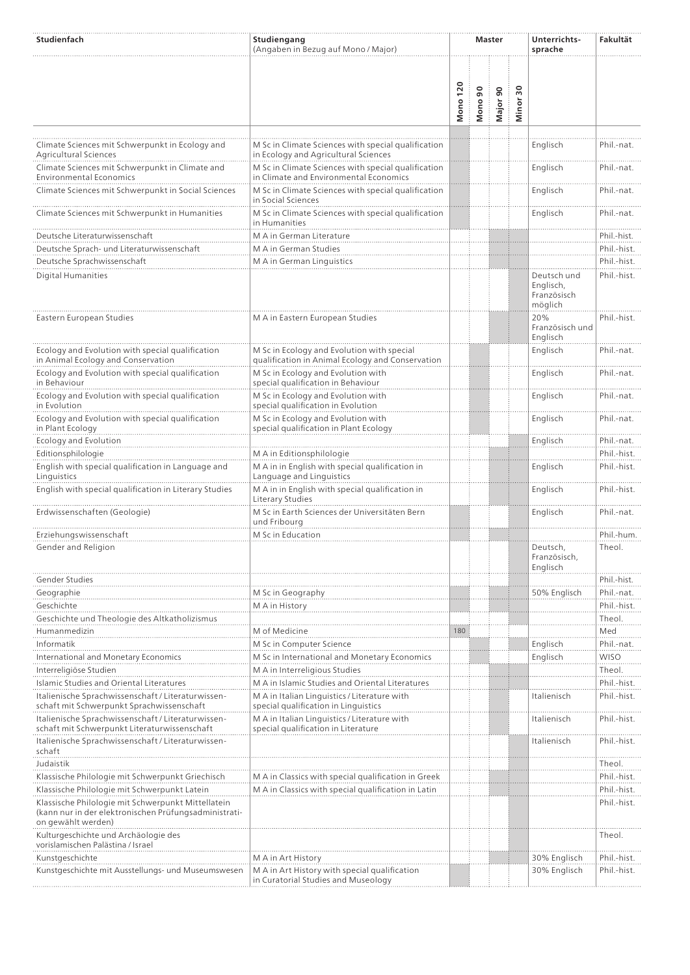| Studienfach                                                                                                                       | Studiengang<br>(Angaben in Bezug auf Mono / Major)                                             |                 |                         | <b>Master</b> |                                  | Unterrichts-<br>sprache                            | Fakultät                  |
|-----------------------------------------------------------------------------------------------------------------------------------|------------------------------------------------------------------------------------------------|-----------------|-------------------------|---------------|----------------------------------|----------------------------------------------------|---------------------------|
|                                                                                                                                   |                                                                                                |                 |                         |               |                                  |                                                    |                           |
|                                                                                                                                   |                                                                                                | <b>Mono 120</b> | $\overline{90}$<br>Mono | Major 90      | $\overline{\mathbf{5}}$<br>Minor |                                                    |                           |
| Climate Sciences mit Schwerpunkt in Ecology and<br>Agricultural Sciences                                                          | M Sc in Climate Sciences with special qualification<br>in Ecology and Agricultural Sciences    |                 |                         |               |                                  | Englisch                                           | Phil.-nat.                |
| Climate Sciences mit Schwerpunkt in Climate and<br><b>Environmental Economics</b>                                                 | M Sc in Climate Sciences with special qualification<br>in Climate and Environmental Economics  |                 |                         |               |                                  | Englisch                                           | Phil.-nat.                |
| Climate Sciences mit Schwerpunkt in Social Sciences                                                                               | M Sc in Climate Sciences with special qualification<br>in Social Sciences                      |                 |                         |               |                                  | Englisch                                           | Phil.-nat.                |
| Climate Sciences mit Schwerpunkt in Humanities                                                                                    | M Sc in Climate Sciences with special qualification<br>in Humanities                           |                 |                         |               |                                  | Englisch                                           | Phil.-nat.                |
| Deutsche Literaturwissenschaft                                                                                                    | M A in German Literature                                                                       |                 |                         |               |                                  |                                                    | Phil.-hist.               |
| Deutsche Sprach- und Literaturwissenschaft                                                                                        | M A in German Studies                                                                          |                 |                         |               |                                  |                                                    | Phil.-hist.               |
| Deutsche Sprachwissenschaft                                                                                                       | M A in German Linguistics                                                                      |                 |                         |               |                                  |                                                    | Phil.-hist.               |
| <b>Digital Humanities</b>                                                                                                         |                                                                                                |                 |                         |               |                                  | Deutsch und<br>Englisch,<br>Französisch<br>möglich | Phil.-hist.               |
| Eastern European Studies                                                                                                          | M A in Eastern European Studies                                                                |                 |                         |               |                                  | 20%<br>Französisch und<br>Englisch                 | Phil.-hist.               |
| Ecology and Evolution with special qualification<br>in Animal Ecology and Conservation                                            | M Sc in Ecology and Evolution with special<br>qualification in Animal Ecology and Conservation |                 |                         |               |                                  | Englisch                                           | Phil.-nat.                |
| Ecology and Evolution with special qualification<br>in Behaviour                                                                  | M Sc in Ecology and Evolution with<br>special qualification in Behaviour                       |                 |                         |               |                                  | Englisch                                           | Phil.-nat.                |
| Ecology and Evolution with special qualification<br>in Evolution                                                                  | M Sc in Ecology and Evolution with<br>special qualification in Evolution                       |                 |                         |               |                                  | Englisch                                           | Phil.-nat.                |
| Ecology and Evolution with special qualification<br>in Plant Ecology                                                              | M Sc in Ecology and Evolution with<br>special qualification in Plant Ecology                   |                 |                         |               |                                  | Englisch                                           | Phil.-nat.                |
| Ecology and Evolution                                                                                                             |                                                                                                |                 |                         |               |                                  | Englisch                                           | Phil.-nat.                |
| Editionsphilologie                                                                                                                | M A in Editionsphilologie                                                                      |                 |                         |               |                                  |                                                    | Phil.-hist.               |
| English with special qualification in Language and<br>Linguistics                                                                 | M A in in English with special qualification in<br>Language and Linguistics                    |                 |                         |               |                                  | Englisch                                           | Phil.-hist.               |
| English with special qualification in Literary Studies                                                                            | M A in in English with special qualification in<br>Literary Studies                            |                 |                         |               |                                  | Englisch                                           | Phil.-hist.               |
| Erdwissenschaften (Geologie)                                                                                                      | M Sc in Earth Sciences der Universitäten Bern<br>und Fribourg                                  |                 |                         |               |                                  | Englisch                                           | Phil.-nat.                |
| Erziehungswissenschaft                                                                                                            | M Sc in Education                                                                              |                 |                         |               |                                  |                                                    | Phil.-hum.                |
| Gender and Religion                                                                                                               |                                                                                                |                 |                         |               |                                  | Deutsch,<br>Französisch,<br>Englisch               | Theol.                    |
| Gender Studies                                                                                                                    |                                                                                                |                 |                         |               |                                  |                                                    | Phil.-hist.               |
| Geographie                                                                                                                        | M Sc in Geography                                                                              |                 |                         |               |                                  | 50% Englisch                                       | Phil.-nat.                |
| Geschichte                                                                                                                        | M A in History                                                                                 |                 |                         |               |                                  |                                                    | Phil.-hist.               |
| Geschichte und Theologie des Altkatholizismus                                                                                     |                                                                                                |                 |                         |               |                                  |                                                    | Theol.                    |
| Humanmedizin                                                                                                                      | M of Medicine                                                                                  | 180             |                         |               |                                  |                                                    | Med                       |
| Informatik                                                                                                                        | M Sc in Computer Science                                                                       |                 |                         |               |                                  | Englisch                                           | Phil.-nat.<br><b>WISO</b> |
| International and Monetary Economics                                                                                              | M Sc in International and Monetary Economics                                                   |                 |                         |               |                                  | Englisch                                           |                           |
| Interreligiöse Studien<br>Islamic Studies and Oriental Literatures                                                                | M A in Interreligious Studies<br>M A in Islamic Studies and Oriental Literatures               |                 |                         |               |                                  |                                                    | Theol.<br>Phil.-hist.     |
| Italienische Sprachwissenschaft / Literaturwissen-<br>schaft mit Schwerpunkt Sprachwissenschaft                                   | M A in Italian Linguistics / Literature with<br>special qualification in Linguistics           |                 |                         |               |                                  | Italienisch                                        | Phil.-hist.               |
| Italienische Sprachwissenschaft / Literaturwissen-<br>schaft mit Schwerpunkt Literaturwissenschaft                                | M A in Italian Linguistics / Literature with<br>special qualification in Literature            |                 |                         |               |                                  | Italienisch                                        | Phil.-hist.               |
| Italienische Sprachwissenschaft / Literaturwissen-<br>schaft                                                                      |                                                                                                |                 |                         |               |                                  | Italienisch                                        | Phil.-hist.               |
| Judaistik                                                                                                                         |                                                                                                |                 |                         |               |                                  |                                                    | Theol.                    |
| Klassische Philologie mit Schwerpunkt Griechisch                                                                                  | M A in Classics with special qualification in Greek                                            |                 |                         |               |                                  |                                                    | Phil.-hist.               |
| Klassische Philologie mit Schwerpunkt Latein                                                                                      | M A in Classics with special qualification in Latin                                            |                 |                         |               |                                  |                                                    | Phil.-hist.               |
| Klassische Philologie mit Schwerpunkt Mittellatein<br>(kann nur in der elektronischen Prüfungsadministrati-<br>on gewählt werden) |                                                                                                |                 |                         |               |                                  |                                                    | Phil.-hist.               |
| Kulturgeschichte und Archäologie des<br>vorislamischen Palästina / Israel                                                         |                                                                                                |                 |                         |               |                                  |                                                    | Theol.                    |
| Kunstgeschichte                                                                                                                   | M A in Art History                                                                             |                 |                         |               |                                  | 30% Englisch                                       | Phil.-hist.               |
| Kunstgeschichte mit Ausstellungs- und Museumswesen                                                                                | M A in Art History with special qualification<br>in Curatorial Studies and Museology           |                 |                         |               |                                  | 30% Englisch                                       | Phil.-hist.               |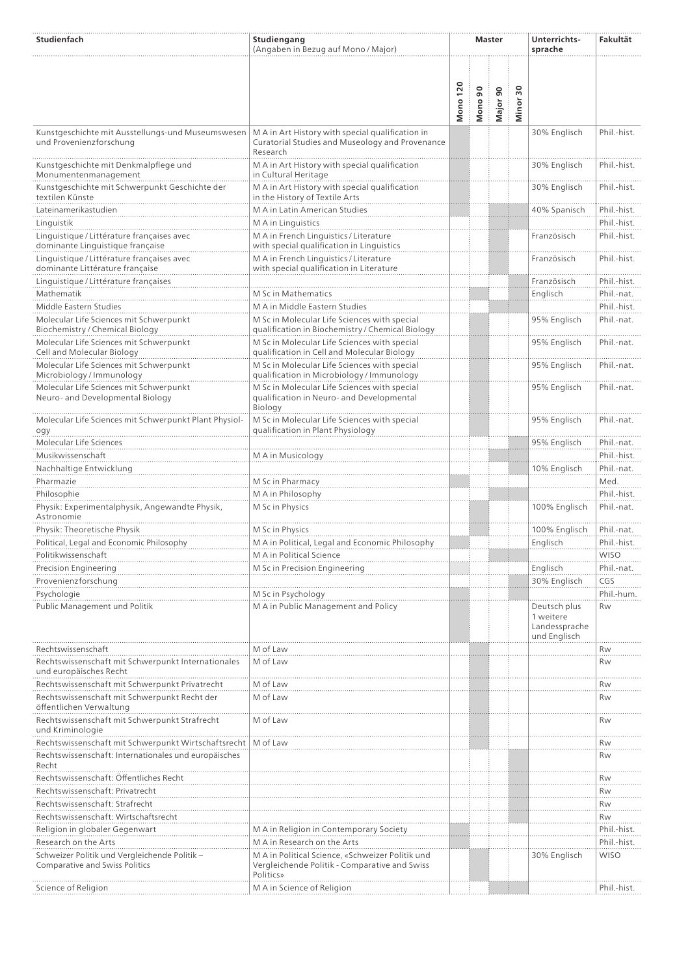| Studienfach                                                                     | Studiengang<br>(Angaben in Bezug auf Mono / Major)                                                              |                 |             | <b>Master</b> |                                    | Unterrichts-<br>sprache                                    | Fakultät                  |
|---------------------------------------------------------------------------------|-----------------------------------------------------------------------------------------------------------------|-----------------|-------------|---------------|------------------------------------|------------------------------------------------------------|---------------------------|
|                                                                                 |                                                                                                                 | <b>Mono 120</b> | 90<br>Mono! | Major 90      | $\overline{\phantom{0}}$<br>Minor: |                                                            |                           |
| Kunstgeschichte mit Ausstellungs-und Museumswesen<br>und Provenienzforschung    | M A in Art History with special qualification in<br>Curatorial Studies and Museology and Provenance<br>Research |                 |             |               |                                    | 30% Englisch                                               | Phil.-hist.               |
| Kunstgeschichte mit Denkmalpflege und<br>Monumentenmanagement                   | M A in Art History with special qualification<br>in Cultural Heritage                                           |                 |             |               |                                    | 30% Englisch                                               | Phil.-hist.               |
| Kunstgeschichte mit Schwerpunkt Geschichte der<br>textilen Künste               | M A in Art History with special qualification<br>in the History of Textile Arts                                 |                 |             |               |                                    | 30% Englisch                                               | Phil.-hist.               |
| Lateinamerikastudien                                                            | M A in Latin American Studies                                                                                   |                 |             |               |                                    | 40% Spanisch                                               | Phil.-hist.               |
| Linguistik                                                                      | M A in Linguistics                                                                                              |                 |             |               |                                    |                                                            | Phil.-hist.               |
| Linguistique / Littérature françaises avec<br>dominante Linguistique française  | M A in French Linguistics / Literature<br>with special qualification in Linguistics                             |                 |             |               |                                    | Französisch                                                | Phil.-hist.               |
| Linguistique / Littérature françaises avec<br>dominante Littérature française   | M A in French Linguistics / Literature<br>with special qualification in Literature                              |                 |             |               |                                    | Französisch                                                | Phil.-hist.               |
| Linguistique / Littérature françaises                                           |                                                                                                                 |                 |             |               |                                    | Französisch                                                | Phil.-hist.               |
| Mathematik                                                                      | M Sc in Mathematics                                                                                             |                 |             |               |                                    | Englisch                                                   | Phil.-nat.                |
| Middle Eastern Studies                                                          | M A in Middle Eastern Studies                                                                                   |                 |             |               |                                    |                                                            | Phil.-hist.               |
| Molecular Life Sciences mit Schwerpunkt<br>Biochemistry / Chemical Biology      | M Sc in Molecular Life Sciences with special<br>qualification in Biochemistry / Chemical Biology                |                 |             |               |                                    | 95% Englisch                                               | Phil.-nat.                |
| Molecular Life Sciences mit Schwerpunkt<br>Cell and Molecular Biology           | M Sc in Molecular Life Sciences with special<br>qualification in Cell and Molecular Biology                     |                 |             |               |                                    | 95% Englisch                                               | Phil.-nat.                |
| Molecular Life Sciences mit Schwerpunkt<br>Microbiology / Immunology            | M Sc in Molecular Life Sciences with special<br>qualification in Microbiology / Immunology                      |                 |             |               |                                    | 95% Englisch                                               | Phil.-nat.                |
| Molecular Life Sciences mit Schwerpunkt<br>Neuro- and Developmental Biology     | M Sc in Molecular Life Sciences with special<br>qualification in Neuro- and Developmental<br>Biology            |                 |             |               |                                    | 95% Englisch                                               | Phil.-nat.                |
| Molecular Life Sciences mit Schwerpunkt Plant Physiol-<br>ogy                   | M Sc in Molecular Life Sciences with special<br>qualification in Plant Physiology                               |                 |             |               |                                    | 95% Englisch                                               | Phil.-nat.                |
| Molecular Life Sciences                                                         |                                                                                                                 |                 |             |               |                                    | 95% Englisch                                               | Phil.-nat.                |
| Musikwissenschaft                                                               | M A in Musicology                                                                                               |                 |             |               |                                    |                                                            | Phil.-hist.               |
| Nachhaltige Entwicklung                                                         |                                                                                                                 |                 |             |               |                                    | 10% Englisch                                               | Phil.-nat.                |
| Pharmazie                                                                       | M Sc in Pharmacy                                                                                                |                 |             |               |                                    |                                                            | Med.                      |
| Philosophie<br>Physik: Experimentalphysik, Angewandte Physik,                   | M A in Philosophy<br>M Sc in Physics                                                                            |                 |             |               |                                    | 100% Englisch                                              | Phil.-hist.<br>Phil.-nat. |
| Astronomie<br>Physik: Theoretische Physik                                       | M Sc in Physics                                                                                                 |                 |             |               |                                    | 100% Englisch                                              | Phil.-nat.                |
| Political, Legal and Economic Philosophy                                        | M A in Political, Legal and Economic Philosophy                                                                 |                 |             |               |                                    | Englisch                                                   | Phil.-hist.               |
| Politikwissenschaft                                                             | M A in Political Science                                                                                        |                 |             |               |                                    |                                                            | WISO                      |
| Precision Engineering                                                           | M Sc in Precision Engineering                                                                                   |                 |             |               |                                    | Englisch                                                   | Phil.-nat.                |
| Provenienzforschung                                                             |                                                                                                                 |                 |             |               |                                    | 30% Englisch                                               | CGS                       |
| Psychologie                                                                     | M Sc in Psychology                                                                                              |                 |             |               |                                    |                                                            | Phil.-hum.                |
| Public Management und Politik                                                   | M A in Public Management and Policy                                                                             |                 |             |               |                                    | Deutsch plus<br>1 weitere<br>Landessprache<br>und Englisch | Rw                        |
| Rechtswissenschaft                                                              | M of Law                                                                                                        |                 |             |               |                                    |                                                            | Rw                        |
| Rechtswissenschaft mit Schwerpunkt Internationales<br>und europäisches Recht    | M of Law                                                                                                        |                 |             |               |                                    |                                                            | Rw                        |
| Rechtswissenschaft mit Schwerpunkt Privatrecht                                  | M of Law                                                                                                        |                 |             |               |                                    |                                                            | Rw                        |
| Rechtswissenschaft mit Schwerpunkt Recht der<br>öffentlichen Verwaltung         | M of Law                                                                                                        |                 |             |               |                                    |                                                            | Rw                        |
| Rechtswissenschaft mit Schwerpunkt Strafrecht<br>und Kriminologie               | M of Law                                                                                                        |                 |             |               |                                    |                                                            | Rw                        |
| Rechtswissenschaft mit Schwerpunkt Wirtschaftsrecht   M of Law                  |                                                                                                                 |                 |             |               |                                    |                                                            | Rw                        |
| Rechtswissenschaft: Internationales und europäisches<br>Recht                   |                                                                                                                 |                 |             |               |                                    |                                                            | Rw                        |
| Rechtswissenschaft: Öffentliches Recht                                          |                                                                                                                 |                 |             |               |                                    |                                                            | Rw                        |
| Rechtswissenschaft: Privatrecht                                                 |                                                                                                                 |                 |             |               |                                    |                                                            | Rw                        |
| Rechtswissenschaft: Strafrecht                                                  |                                                                                                                 |                 |             |               |                                    |                                                            | Rw                        |
| Rechtswissenschaft: Wirtschaftsrecht                                            |                                                                                                                 |                 |             |               |                                    |                                                            | Rw                        |
| Religion in globaler Gegenwart                                                  | M A in Religion in Contemporary Society                                                                         |                 |             |               |                                    |                                                            | Phil.-hist.               |
| Research on the Arts                                                            | M A in Research on the Arts                                                                                     |                 |             |               |                                    |                                                            | Phil.-hist.               |
| Schweizer Politik und Vergleichende Politik -<br>Comparative and Swiss Politics | M A in Political Science, «Schweizer Politik und<br>Vergleichende Politik - Comparative and Swiss<br>Politics»  |                 |             |               |                                    | 30% Englisch                                               | <b>WISO</b>               |
| Science of Religion                                                             | M A in Science of Religion                                                                                      |                 |             |               |                                    |                                                            | Phil.-hist.               |